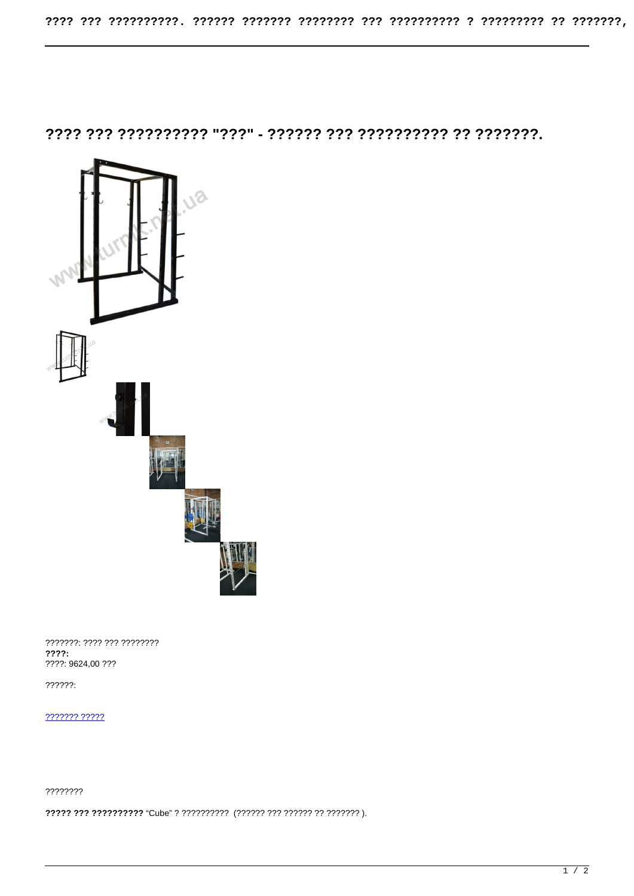

???????: ???? ??? ?????????  $??\ ??$ ????: 9624,00 ???

 $??\frac{??\frac{?}{?}}{?}$ 

7777777 77777

????????